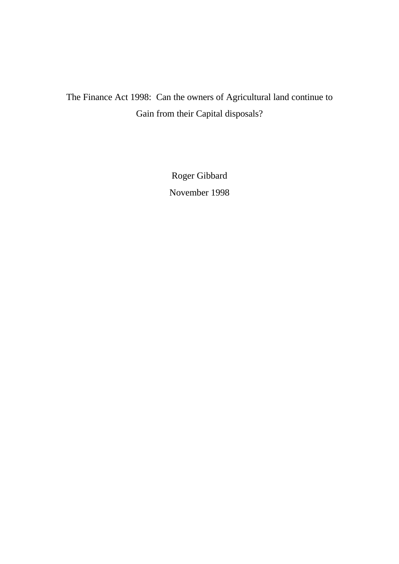# The Finance Act 1998: Can the owners of Agricultural land continue to Gain from their Capital disposals?

Roger Gibbard November 1998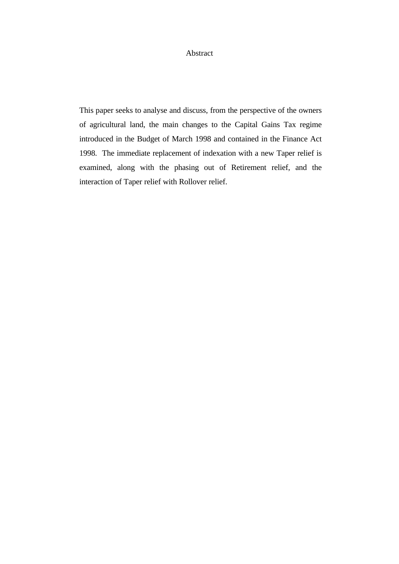## Abstract

This paper seeks to analyse and discuss, from the perspective of the owners of agricultural land, the main changes to the Capital Gains Tax regime introduced in the Budget of March 1998 and contained in the Finance Act 1998. The immediate replacement of indexation with a new Taper relief is examined, along with the phasing out of Retirement relief, and the interaction of Taper relief with Rollover relief.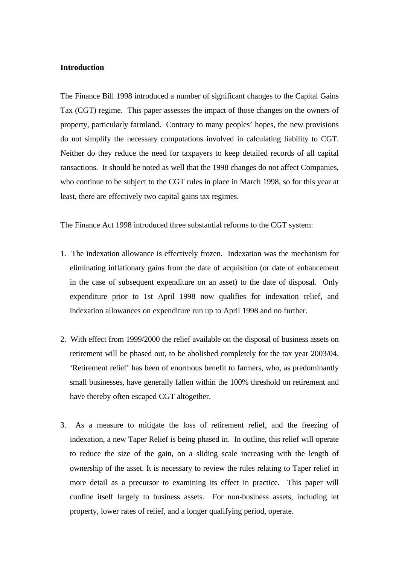# **Introduction**

The Finance Bill 1998 introduced a number of significant changes to the Capital Gains Tax (CGT) regime. This paper assesses the impact of those changes on the owners of property, particularly farmland. Contrary to many peoples' hopes, the new provisions do not simplify the necessary computations involved in calculating liability to CGT. Neither do they reduce the need for taxpayers to keep detailed records of all capital ransactions. It should be noted as well that the 1998 changes do not affect Companies, who continue to be subject to the CGT rules in place in March 1998, so for this year at least, there are effectively two capital gains tax regimes.

The Finance Act 1998 introduced three substantial reforms to the CGT system:

- 1. The indexation allowance is effectively frozen. Indexation was the mechanism for eliminating inflationary gains from the date of acquisition (or date of enhancement in the case of subsequent expenditure on an asset) to the date of disposal. Only expenditure prior to 1st April 1998 now qualifies for indexation relief, and indexation allowances on expenditure run up to April 1998 and no further.
- 2. With effect from 1999/2000 the relief available on the disposal of business assets on retirement will be phased out, to be abolished completely for the tax year 2003/04. 'Retirement relief' has been of enormous benefit to farmers, who, as predominantly small businesses, have generally fallen within the 100% threshold on retirement and have thereby often escaped CGT altogether.
- 3. As a measure to mitigate the loss of retirement relief, and the freezing of indexation, a new Taper Relief is being phased in. In outline, this relief will operate to reduce the size of the gain, on a sliding scale increasing with the length of ownership of the asset. It is necessary to review the rules relating to Taper relief in more detail as a precursor to examining its effect in practice. This paper will confine itself largely to business assets. For non-business assets, including let property, lower rates of relief, and a longer qualifying period, operate.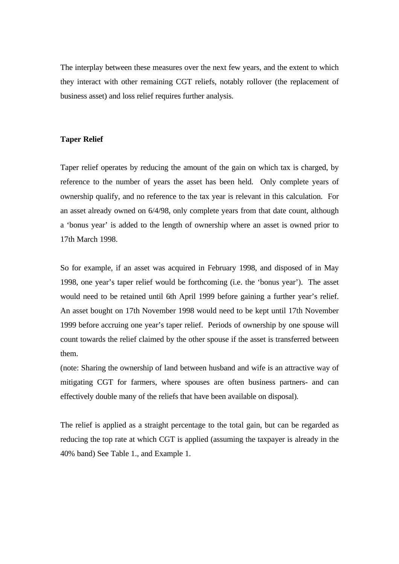The interplay between these measures over the next few years, and the extent to which they interact with other remaining CGT reliefs, notably rollover (the replacement of business asset) and loss relief requires further analysis.

# **Taper Relief**

Taper relief operates by reducing the amount of the gain on which tax is charged, by reference to the number of years the asset has been held. Only complete years of ownership qualify, and no reference to the tax year is relevant in this calculation. For an asset already owned on 6/4/98, only complete years from that date count, although a 'bonus year' is added to the length of ownership where an asset is owned prior to 17th March 1998.

So for example, if an asset was acquired in February 1998, and disposed of in May 1998, one year's taper relief would be forthcoming (i.e. the 'bonus year'). The asset would need to be retained until 6th April 1999 before gaining a further year's relief. An asset bought on 17th November 1998 would need to be kept until 17th November 1999 before accruing one year's taper relief. Periods of ownership by one spouse will count towards the relief claimed by the other spouse if the asset is transferred between them.

(note: Sharing the ownership of land between husband and wife is an attractive way of mitigating CGT for farmers, where spouses are often business partners- and can effectively double many of the reliefs that have been available on disposal).

The relief is applied as a straight percentage to the total gain, but can be regarded as reducing the top rate at which CGT is applied (assuming the taxpayer is already in the 40% band) See Table 1., and Example 1.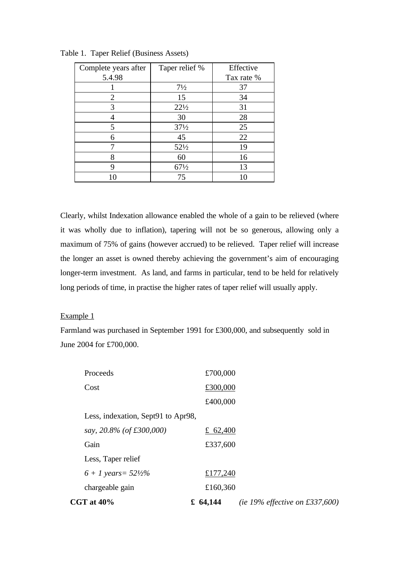| Complete years after | Taper relief %  | Effective  |
|----------------------|-----------------|------------|
| 5.4.98               |                 | Tax rate % |
|                      | $7\frac{1}{2}$  | 37         |
| 2                    | 15              | 34         |
| 3                    | $22\frac{1}{2}$ | 31         |
|                      | 30              | 28         |
| 5                    | $37\frac{1}{2}$ | 25         |
| 6                    | 45              | 22         |
|                      | $52\frac{1}{2}$ | 19         |
| 8                    | 60              | 16         |
| q                    | $67\frac{1}{2}$ | 13         |
| 10                   | 75              |            |

Table 1. Taper Relief (Business Assets)

Clearly, whilst Indexation allowance enabled the whole of a gain to be relieved (where it was wholly due to inflation), tapering will not be so generous, allowing only a maximum of 75% of gains (however accrued) to be relieved. Taper relief will increase the longer an asset is owned thereby achieving the government's aim of encouraging longer-term investment. As land, and farms in particular, tend to be held for relatively long periods of time, in practise the higher rates of taper relief will usually apply.

# Example 1

Farmland was purchased in September 1991 for £300,000, and subsequently sold in June 2004 for £700,000.

| $CGT$ at $40\%$                    | £ $64,144$ | (ie 19% effective on £337,600) |
|------------------------------------|------------|--------------------------------|
| chargeable gain                    | £160,360   |                                |
| $6 + 1$ years = 52½%               | £177,240   |                                |
| Less, Taper relief                 |            |                                |
| Gain                               | £337,600   |                                |
| say, $20.8\%$ (of £300,000)        | £ 62,400   |                                |
| Less, indexation, Sept91 to Apr98, |            |                                |
|                                    | £400,000   |                                |
| Cost                               | £300,000   |                                |
| Proceeds                           | £700,000   |                                |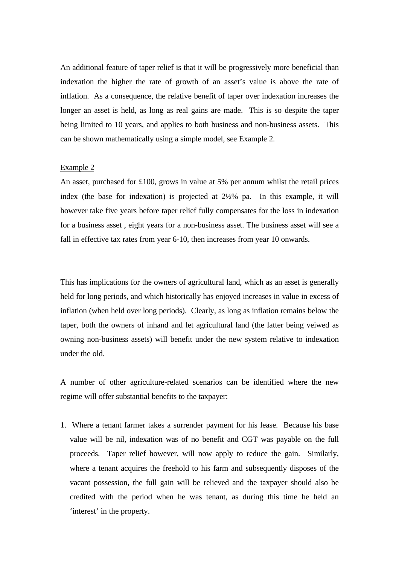An additional feature of taper relief is that it will be progressively more beneficial than indexation the higher the rate of growth of an asset's value is above the rate of inflation. As a consequence, the relative benefit of taper over indexation increases the longer an asset is held, as long as real gains are made. This is so despite the taper being limited to 10 years, and applies to both business and non-business assets. This can be shown mathematically using a simple model, see Example 2.

#### Example 2

An asset, purchased for £100, grows in value at 5% per annum whilst the retail prices index (the base for indexation) is projected at 2½% pa. In this example, it will however take five years before taper relief fully compensates for the loss in indexation for a business asset , eight years for a non-business asset. The business asset will see a fall in effective tax rates from year 6-10, then increases from year 10 onwards.

This has implications for the owners of agricultural land, which as an asset is generally held for long periods, and which historically has enjoyed increases in value in excess of inflation (when held over long periods). Clearly, as long as inflation remains below the taper, both the owners of inhand and let agricultural land (the latter being veiwed as owning non-business assets) will benefit under the new system relative to indexation under the old.

A number of other agriculture-related scenarios can be identified where the new regime will offer substantial benefits to the taxpayer:

1. Where a tenant farmer takes a surrender payment for his lease. Because his base value will be nil, indexation was of no benefit and CGT was payable on the full proceeds. Taper relief however, will now apply to reduce the gain. Similarly, where a tenant acquires the freehold to his farm and subsequently disposes of the vacant possession, the full gain will be relieved and the taxpayer should also be credited with the period when he was tenant, as during this time he held an 'interest' in the property.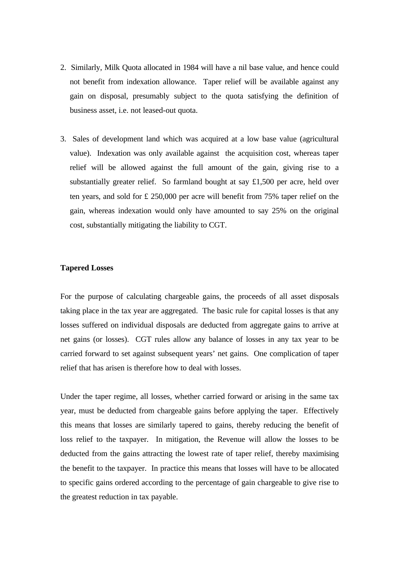- 2. Similarly, Milk Quota allocated in 1984 will have a nil base value, and hence could not benefit from indexation allowance. Taper relief will be available against any gain on disposal, presumably subject to the quota satisfying the definition of business asset, i.e. not leased-out quota.
- 3. Sales of development land which was acquired at a low base value (agricultural value). Indexation was only available against the acquisition cost, whereas taper relief will be allowed against the full amount of the gain, giving rise to a substantially greater relief. So farmland bought at say £1,500 per acre, held over ten years, and sold for £ 250,000 per acre will benefit from 75% taper relief on the gain, whereas indexation would only have amounted to say 25% on the original cost, substantially mitigating the liability to CGT.

# **Tapered Losses**

For the purpose of calculating chargeable gains, the proceeds of all asset disposals taking place in the tax year are aggregated. The basic rule for capital losses is that any losses suffered on individual disposals are deducted from aggregate gains to arrive at net gains (or losses). CGT rules allow any balance of losses in any tax year to be carried forward to set against subsequent years' net gains. One complication of taper relief that has arisen is therefore how to deal with losses.

Under the taper regime, all losses, whether carried forward or arising in the same tax year, must be deducted from chargeable gains before applying the taper. Effectively this means that losses are similarly tapered to gains, thereby reducing the benefit of loss relief to the taxpayer. In mitigation, the Revenue will allow the losses to be deducted from the gains attracting the lowest rate of taper relief, thereby maximising the benefit to the taxpayer. In practice this means that losses will have to be allocated to specific gains ordered according to the percentage of gain chargeable to give rise to the greatest reduction in tax payable.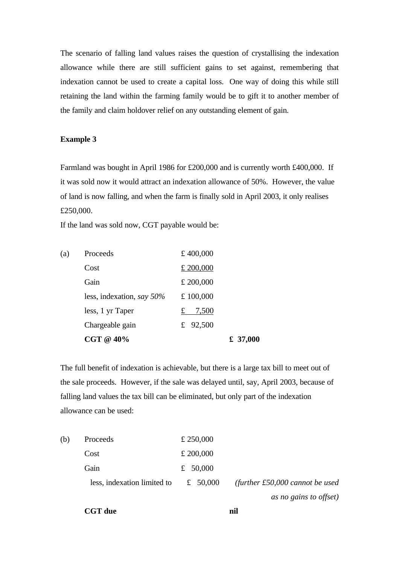The scenario of falling land values raises the question of crystallising the indexation allowance while there are still sufficient gains to set against, remembering that indexation cannot be used to create a capital loss. One way of doing this while still retaining the land within the farming family would be to gift it to another member of the family and claim holdover relief on any outstanding element of gain.

# **Example 3**

Farmland was bought in April 1986 for £200,000 and is currently worth £400,000. If it was sold now it would attract an indexation allowance of 50%. However, the value of land is now falling, and when the farm is finally sold in April 2003, it only realises £250,000.

If the land was sold now, CGT payable would be:

|     | CGT @ 40%                    |             | £ 37,000 |
|-----|------------------------------|-------------|----------|
|     | Chargeable gain              | £ $92,500$  |          |
|     | less, 1 yr Taper             | 7,500<br>£  |          |
|     | less, indexation, say $50\%$ | £ $100,000$ |          |
|     | Gain                         | £ 200,000   |          |
|     | Cost                         | £ 200,000   |          |
| (a) | Proceeds                     | £400,000    |          |

The full benefit of indexation is achievable, but there is a large tax bill to meet out of the sale proceeds. However, if the sale was delayed until, say, April 2003, because of falling land values the tax bill can be eliminated, but only part of the indexation allowance can be used:

|     | <b>CGT</b> due              |            | nil                               |
|-----|-----------------------------|------------|-----------------------------------|
|     |                             |            | as no gains to offset)            |
|     | less, indexation limited to | £ $50,000$ | (further $£50,000$ cannot be used |
|     | Gain                        | £ $50,000$ |                                   |
|     | Cost                        | £ 200,000  |                                   |
| (b) | Proceeds                    | £ 250,000  |                                   |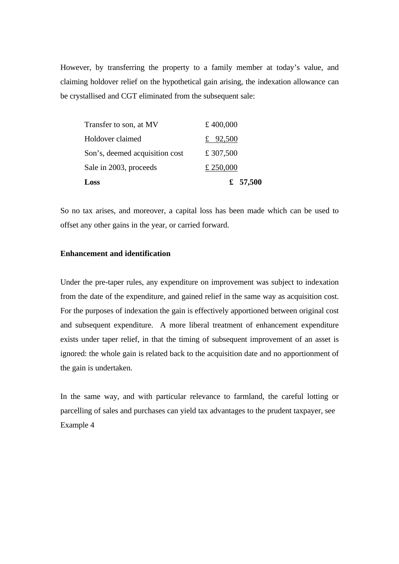However, by transferring the property to a family member at today's value, and claiming holdover relief on the hypothetical gain arising, the indexation allowance can be crystallised and CGT eliminated from the subsequent sale:

| Loss                           | £ $57,500$ |
|--------------------------------|------------|
| Sale in 2003, proceeds         | £ 250,000  |
| Son's, deemed acquisition cost | £ 307,500  |
| Holdover claimed               | £ $92,500$ |
| Transfer to son, at MV         | £ 400,000  |

So no tax arises, and moreover, a capital loss has been made which can be used to offset any other gains in the year, or carried forward.

# **Enhancement and identification**

Under the pre-taper rules, any expenditure on improvement was subject to indexation from the date of the expenditure, and gained relief in the same way as acquisition cost. For the purposes of indexation the gain is effectively apportioned between original cost and subsequent expenditure. A more liberal treatment of enhancement expenditure exists under taper relief, in that the timing of subsequent improvement of an asset is ignored: the whole gain is related back to the acquisition date and no apportionment of the gain is undertaken.

In the same way, and with particular relevance to farmland, the careful lotting or parcelling of sales and purchases can yield tax advantages to the prudent taxpayer, see Example 4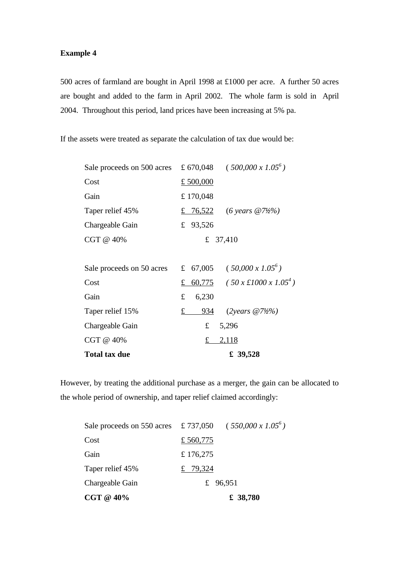# **Example 4**

500 acres of farmland are bought in April 1998 at £1000 per acre. A further 50 acres are bought and added to the farm in April 2002. The whole farm is sold in April 2004. Throughout this period, land prices have been increasing at 5% pa.

If the assets were treated as separate the calculation of tax due would be:

| Sale proceeds on 500 acres $\pm 670,048$ (500,000 x 1.05 <sup>6</sup> ) |                                 |                                                |
|-------------------------------------------------------------------------|---------------------------------|------------------------------------------------|
| Cost                                                                    | £ 500,000                       |                                                |
| Gain                                                                    | £170,048                        |                                                |
| Taper relief 45%                                                        |                                 | <u>£ 76,522</u> (6 years $@7\frac{1}{2}\%$ )   |
| Chargeable Gain                                                         | £ $93,526$                      |                                                |
| CGT @ 40%                                                               |                                 | £ 37,410                                       |
|                                                                         |                                 |                                                |
| Sale proceeds on 50 acres                                               |                                 | £ 67,005 $(50,000 \times 1.05^6)$              |
| Cost                                                                    |                                 | $\pm$ 60,775 (50 x £1000 x 1.05 <sup>4</sup> ) |
| Gain                                                                    | £<br>6,230                      |                                                |
| Taper relief 15%                                                        | $\underline{\mathbf{f}}$<br>934 | (2years $@7\frac{1}{2}\%$ )                    |
| Chargeable Gain                                                         | $\mathbf f$                     | 5,296                                          |
| CGT @ 40%                                                               | f                               | 2,118                                          |
| Total tax due                                                           |                                 | £ 39,528                                       |
|                                                                         |                                 |                                                |

However, by treating the additional purchase as a merger, the gain can be allocated to the whole period of ownership, and taper relief claimed accordingly:

| CGT @ 40%                                                          |            | £ 38,780   |
|--------------------------------------------------------------------|------------|------------|
| Chargeable Gain                                                    |            | £ $96,951$ |
| Taper relief 45%                                                   | £ $79,324$ |            |
| Gain                                                               | £176,275   |            |
| Cost                                                               | £ 560,775  |            |
| Sale proceeds on 550 acres $\pm 737,050$ $(550,000 \times 1.05^6)$ |            |            |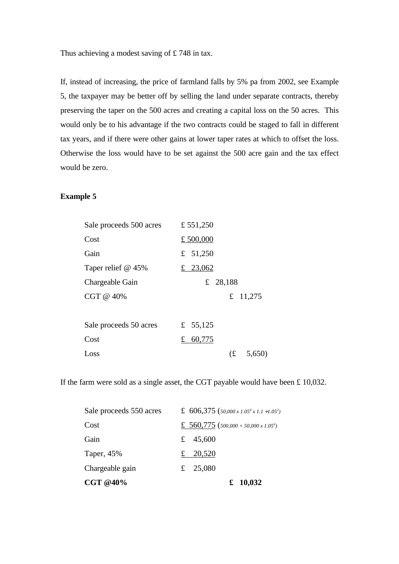Thus achieving a modest saving of £ 748 in tax.

If, instead of increasing, the price of farmland falls by 5% pa from 2002, see Example 5, the taxpayer may be better off by selling the land under separate contracts, thereby preserving the taper on the 500 acres and creating a capital loss on the 50 acres. This would only be to his advantage if the two contracts could be staged to fall in different tax years, and if there were other gains at lower taper rates at which to offset the loss. Otherwise the loss would have to be set against the 500 acre gain and the tax effect would be zero.

# **Example 5**

| Sale proceeds 500 acres | £ 551,250  |
|-------------------------|------------|
| Cost                    | £ 500,000  |
| Gain                    | £ $51,250$ |
| Taper relief $@$ 45%    | £ 23,062   |
| Chargeable Gain         | £ 28,188   |
| CGT @ 40%               | £ $11,275$ |
|                         |            |
| Sale proceeds 50 acres  | £ 55,125   |
| Cost                    | £ $60,775$ |
| Loss                    | (E 5,650)  |

If the farm were sold as a single asset, the CGT payable would have been £ 10,032.

| Sale proceeds 550 acres | £ 606,375 $(50,000 \times 1.05^{4} \times 1.1, 1.05^{2})$ |
|-------------------------|-----------------------------------------------------------|
| Cost                    | £ 560,775 $(500,000 + 50,000 \times 1.05^4)$              |
| Gain                    | 45,600<br>f                                               |
| Taper, 45%              | 20,520                                                    |
| Chargeable gain         | 25,080<br>£                                               |
| CGT @40%                | 10,032                                                    |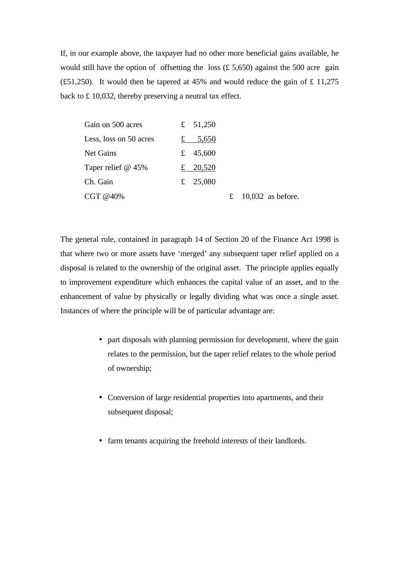If, in our example above, the taxpayer had no other more beneficial gains available, he would still have the option of offsetting the loss  $(E 5,650)$  against the 500 acre gain (£51,250). It would then be tapered at 45% and would reduce the gain of  $£ 11,275$ back to £ 10,032, thereby preserving a neutral tax effect.

| Gain on 500 acres      |   | £ $51,250$ |   |                     |  |
|------------------------|---|------------|---|---------------------|--|
| Less, loss on 50 acres | £ | 5,650      |   |                     |  |
| Net Gains              | £ | 45,600     |   |                     |  |
| Taper relief $@$ 45%   | £ | 20,520     |   |                     |  |
| Ch. Gain               |   | £ 25,080   |   |                     |  |
| CGT @40%               |   |            | £ | $10,032$ as before. |  |

The general rule, contained in paragraph 14 of Section 20 of the Finance Act 1998 is that where two or more assets have 'merged' any subsequent taper relief applied on a disposal is related to the ownership of the original asset. The principle applies equally to improvement expenditure which enhances the capital value of an asset, and to the enhancement of value by physically or legally dividing what was once a single asset. Instances of where the principle will be of particular advantage are:

- part disposals with planning permission for development, where the gain relates to the permission, but the taper relief relates to the whole period of ownership;
- Conversion of large residential properties into apartments, and their subsequent disposal;
- farm tenants acquiring the freehold interests of their landlords.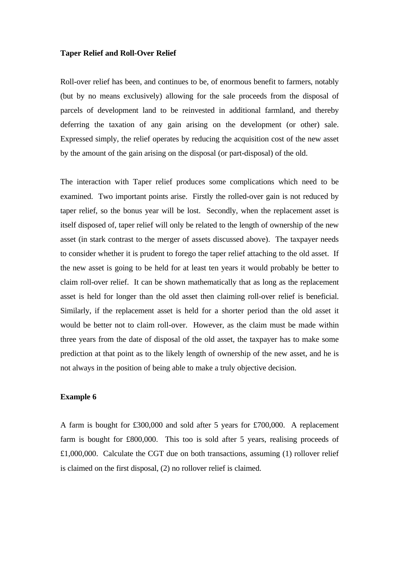### **Taper Relief and Roll-Over Relief**

Roll-over relief has been, and continues to be, of enormous benefit to farmers, notably (but by no means exclusively) allowing for the sale proceeds from the disposal of parcels of development land to be reinvested in additional farmland, and thereby deferring the taxation of any gain arising on the development (or other) sale. Expressed simply, the relief operates by reducing the acquisition cost of the new asset by the amount of the gain arising on the disposal (or part-disposal) of the old.

The interaction with Taper relief produces some complications which need to be examined. Two important points arise. Firstly the rolled-over gain is not reduced by taper relief, so the bonus year will be lost. Secondly, when the replacement asset is itself disposed of, taper relief will only be related to the length of ownership of the new asset (in stark contrast to the merger of assets discussed above). The taxpayer needs to consider whether it is prudent to forego the taper relief attaching to the old asset. If the new asset is going to be held for at least ten years it would probably be better to claim roll-over relief. It can be shown mathematically that as long as the replacement asset is held for longer than the old asset then claiming roll-over relief is beneficial. Similarly, if the replacement asset is held for a shorter period than the old asset it would be better not to claim roll-over. However, as the claim must be made within three years from the date of disposal of the old asset, the taxpayer has to make some prediction at that point as to the likely length of ownership of the new asset, and he is not always in the position of being able to make a truly objective decision.

#### **Example 6**

A farm is bought for £300,000 and sold after 5 years for £700,000. A replacement farm is bought for £800,000. This too is sold after 5 years, realising proceeds of £1,000,000. Calculate the CGT due on both transactions, assuming (1) rollover relief is claimed on the first disposal, (2) no rollover relief is claimed.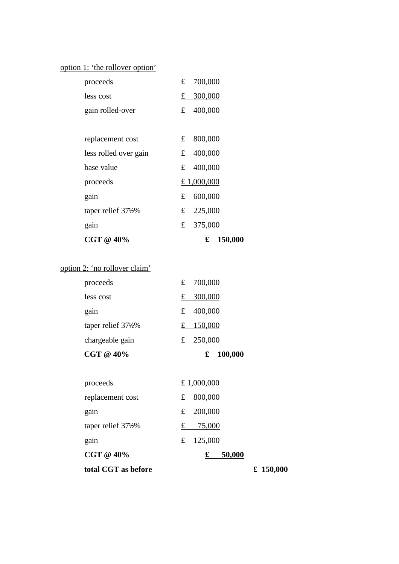# option 1: 'the rollover option'

| CGT @ 40%             |         | £           | 150,000 |
|-----------------------|---------|-------------|---------|
| gain                  |         | £ 375,000   |         |
| taper relief 37½%     |         | £ 225,000   |         |
| gain                  |         | £ $600,000$ |         |
| proceeds              |         | £ 1,000,000 |         |
| base value            |         | £ 400,000   |         |
| less rolled over gain |         | £ 400,000   |         |
| replacement cost      | $f_{-}$ | 800,000     |         |
|                       |         |             |         |
| gain rolled-over      | £       | 400,000     |         |
| less cost             | f       | 300,000     |         |
| proceeds              | £       | 700,000     |         |

# option 2: 'no rollover claim'

| CGT @ $40\%$      | 100,000<br>£ |
|-------------------|--------------|
| chargeable gain   | 250,000<br>£ |
| taper relief 37½% | 150,000<br>£ |
| gain              | 400,000<br>£ |
| less cost         | 300,000<br>£ |
| proceeds          | £ 700,000    |

| total CGT as before |              | £ $150,000$ |
|---------------------|--------------|-------------|
| CGT @ 40%           | 50,000<br>£  |             |
| gain                | 125,000<br>£ |             |
| taper relief 37½%   | £<br>75,000  |             |
| gain                | 200,000<br>£ |             |
| replacement cost    | £<br>800,000 |             |
| proceeds            | £ 1,000,000  |             |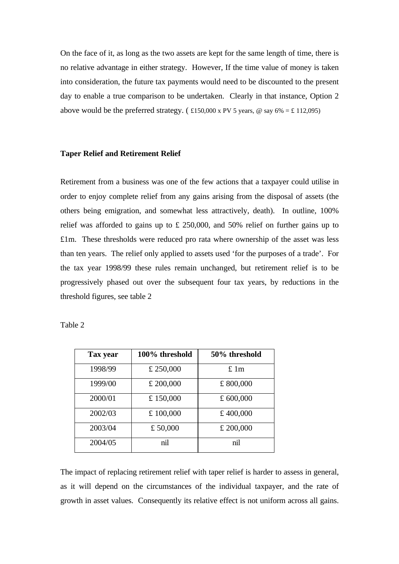On the face of it, as long as the two assets are kept for the same length of time, there is no relative advantage in either strategy. However, If the time value of money is taken into consideration, the future tax payments would need to be discounted to the present day to enable a true comparison to be undertaken. Clearly in that instance, Option 2 above would be the preferred strategy. ( $\text{\textsterling}150,000 \text{ x PV 5 years}$ , @ say 6% = £ 112,095)

# **Taper Relief and Retirement Relief**

Retirement from a business was one of the few actions that a taxpayer could utilise in order to enjoy complete relief from any gains arising from the disposal of assets (the others being emigration, and somewhat less attractively, death). In outline, 100% relief was afforded to gains up to £ 250,000, and 50% relief on further gains up to £1m. These thresholds were reduced pro rata where ownership of the asset was less than ten years. The relief only applied to assets used 'for the purposes of a trade'. For the tax year 1998/99 these rules remain unchanged, but retirement relief is to be progressively phased out over the subsequent four tax years, by reductions in the threshold figures, see table 2

| abie |  |
|------|--|
|      |  |

| Tax year | 100% threshold | 50% threshold |
|----------|----------------|---------------|
| 1998/99  | £ 250,000      | £1m           |
| 1999/00  | £ 200,000      | £800,000      |
| 2000/01  | £150,000       | £ 600,000     |
| 2002/03  | £100,000       | £400,000      |
| 2003/04  | £50,000        | £ 200,000     |
| 2004/05  | nil            | nil           |

The impact of replacing retirement relief with taper relief is harder to assess in general, as it will depend on the circumstances of the individual taxpayer, and the rate of growth in asset values. Consequently its relative effect is not uniform across all gains.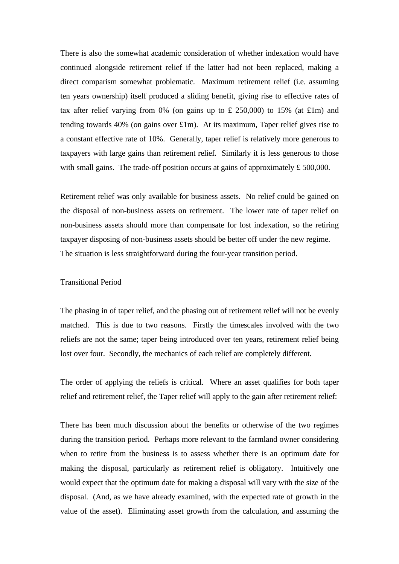There is also the somewhat academic consideration of whether indexation would have continued alongside retirement relief if the latter had not been replaced, making a direct comparism somewhat problematic. Maximum retirement relief (i.e. assuming ten years ownership) itself produced a sliding benefit, giving rise to effective rates of tax after relief varying from 0% (on gains up to £ 250,000) to 15% (at £1m) and tending towards 40% (on gains over £1m). At its maximum, Taper relief gives rise to a constant effective rate of 10%. Generally, taper relief is relatively more generous to taxpayers with large gains than retirement relief. Similarly it is less generous to those with small gains. The trade-off position occurs at gains of approximately £ 500,000.

Retirement relief was only available for business assets. No relief could be gained on the disposal of non-business assets on retirement. The lower rate of taper relief on non-business assets should more than compensate for lost indexation, so the retiring taxpayer disposing of non-business assets should be better off under the new regime. The situation is less straightforward during the four-year transition period.

# Transitional Period

The phasing in of taper relief, and the phasing out of retirement relief will not be evenly matched. This is due to two reasons. Firstly the timescales involved with the two reliefs are not the same; taper being introduced over ten years, retirement relief being lost over four. Secondly, the mechanics of each relief are completely different.

The order of applying the reliefs is critical. Where an asset qualifies for both taper relief and retirement relief, the Taper relief will apply to the gain after retirement relief:

There has been much discussion about the benefits or otherwise of the two regimes during the transition period. Perhaps more relevant to the farmland owner considering when to retire from the business is to assess whether there is an optimum date for making the disposal, particularly as retirement relief is obligatory. Intuitively one would expect that the optimum date for making a disposal will vary with the size of the disposal. (And, as we have already examined, with the expected rate of growth in the value of the asset). Eliminating asset growth from the calculation, and assuming the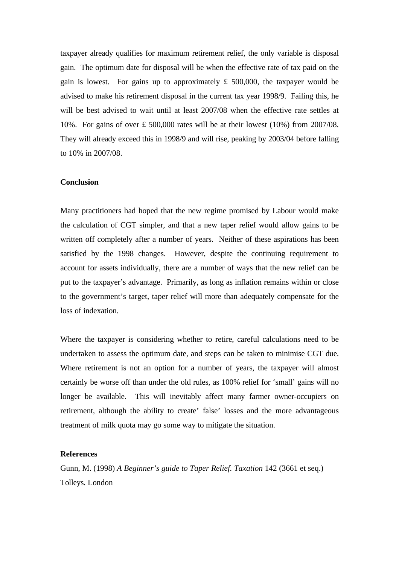taxpayer already qualifies for maximum retirement relief, the only variable is disposal gain. The optimum date for disposal will be when the effective rate of tax paid on the gain is lowest. For gains up to approximately  $\pounds$  500,000, the taxpayer would be advised to make his retirement disposal in the current tax year 1998/9. Failing this, he will be best advised to wait until at least 2007/08 when the effective rate settles at 10%. For gains of over £ 500,000 rates will be at their lowest (10%) from 2007/08. They will already exceed this in 1998/9 and will rise, peaking by 2003/04 before falling to 10% in 2007/08.

## **Conclusion**

Many practitioners had hoped that the new regime promised by Labour would make the calculation of CGT simpler, and that a new taper relief would allow gains to be written off completely after a number of years. Neither of these aspirations has been satisfied by the 1998 changes. However, despite the continuing requirement to account for assets individually, there are a number of ways that the new relief can be put to the taxpayer's advantage. Primarily, as long as inflation remains within or close to the government's target, taper relief will more than adequately compensate for the loss of indexation.

Where the taxpayer is considering whether to retire, careful calculations need to be undertaken to assess the optimum date, and steps can be taken to minimise CGT due. Where retirement is not an option for a number of years, the taxpayer will almost certainly be worse off than under the old rules, as 100% relief for 'small' gains will no longer be available. This will inevitably affect many farmer owner-occupiers on retirement, although the ability to create' false' losses and the more advantageous treatment of milk quota may go some way to mitigate the situation.

## **References**

Gunn, M. (1998) *A Beginner's guide to Taper Relief. Taxation* 142 (3661 et seq.) Tolleys. London